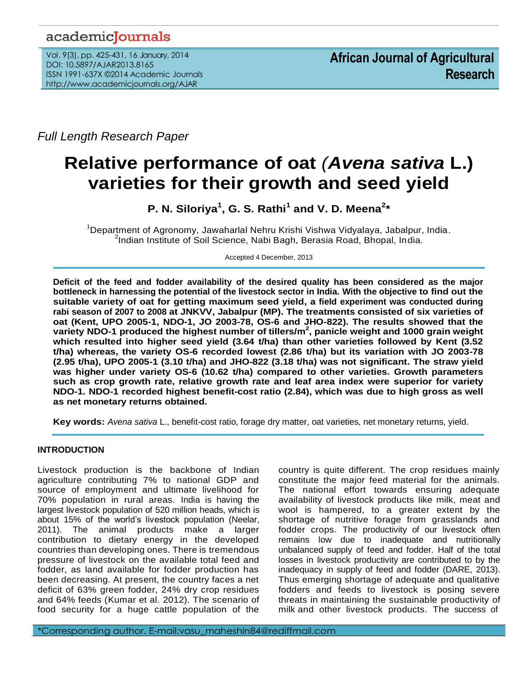# academicJournals

Vol. 9(3), pp. 425-431, 16 January, 2014 DOI: 10.5897/AJAR2013.8165 ISSN 1991-637X ©2014 Academic Journals http://www.academicjournals.org/AJAR

*Full Length Research Paper*

# **Relative performance of oat** *(Avena sativa* **L.) varieties for their growth and seed yield**

**P. N. Siloriya<sup>1</sup> , G. S. Rathi<sup>1</sup> and V. D. Meena<sup>2</sup> \***

<sup>1</sup>Department of Agronomy, Jawaharlal Nehru Krishi Vishwa Vidyalaya, Jabalpur, India. <sup>2</sup>Indian Institute of Soil Science, Nabi Bagh, Berasia Road, Bhopal, India.

Accepted 4 December, 2013

**Deficit of the feed and fodder availability of the desired quality has been considered as the major bottleneck in harnessing the potential of the livestock sector in India. With the objective to find out the suitable variety of oat for getting maximum seed yield, a field experiment was conducted during rabi season of 2007 to 2008 at JNKVV, Jabalpur (MP). The treatments consisted of six varieties of oat (Kent, UPO 2005-1, NDO-1, JO 2003-78, OS-6 and JHO-822). The results showed that the variety NDO-1 produced the highest number of tillers/m<sup>2</sup> , panicle weight and 1000 grain weight which resulted into higher seed yield (3.64 t/ha) than other varieties followed by Kent (3.52 t/ha) whereas, the variety OS-6 recorded lowest (2.86 t/ha) but its variation with JO 2003-78 (2.95 t/ha), UPO 2005-1 (3.10 t/ha) and JHO-822 (3.18 t/ha) was not significant. The straw yield was higher under variety OS-6 (10.62 t/ha) compared to other varieties. Growth parameters such as crop growth rate, relative growth rate and leaf area index were superior for variety NDO-1. NDO-1 recorded highest benefit-cost ratio (2.84), which was due to high gross as well as net monetary returns obtained.**

**Key words:** *Avena sativa* L., benefit-cost ratio, forage dry matter, oat varieties, net monetary returns, yield.

# **INTRODUCTION**

Livestock production is the backbone of Indian agriculture contributing 7% to national GDP and source of employment and ultimate livelihood for 70% population in rural areas. India is having the largest livestock population of 520 million heads, which is about 15% of the world's livestock population (Neelar, 2011). The animal products make a larger contribution to dietary energy in the developed countries than developing ones. There is tremendous pressure of livestock on the available total feed and fodder, as land available for fodder production has been decreasing. At present, the country faces a net deficit of 63% green fodder, 24% dry crop residues and 64% feeds (Kumar et al. 2012). The scenario of food security for a huge cattle population of the country is quite different. The crop residues mainly constitute the major feed material for the animals. The national effort towards ensuring adequate availability of livestock products like milk, meat and wool is hampered, to a greater extent by the shortage of nutritive forage from grasslands and fodder crops. The productivity of our livestock often remains low due to inadequate and nutritionally unbalanced supply of feed and fodder. Half of the total losses in livestock productivity are contributed to by the inadequacy in supply of feed and fodder (DARE, 2013). Thus emerging shortage of adequate and qualitative fodders and feeds to livestock is posing severe threats in maintaining the sustainable productivity of milk and other livestock products. The success of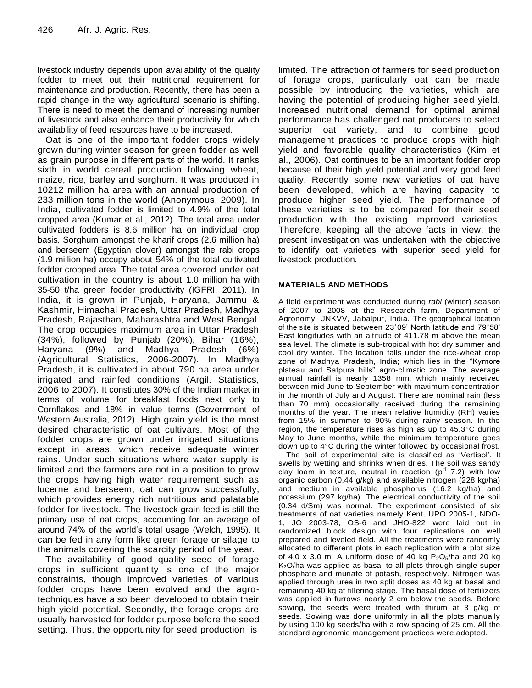livestock industry depends upon availability of the quality fodder to meet out their nutritional requirement for maintenance and production. Recently, there has been a rapid change in the way agricultural scenario is shifting. There is need to meet the demand of increasing number of livestock and also enhance their productivity for which availability of feed resources have to be increased.

Oat is one of the important fodder crops widely grown during winter season for green fodder as well as grain purpose in different parts of the world. It ranks sixth in world cereal production following wheat, maize, rice, barley and sorghum. It was produced in 10212 million ha area with an annual production of 233 million tons in the world (Anonymous, 2009). In India, cultivated fodder is limited to 4.9% of the total cropped area (Kumar et al., 2012). The total area under cultivated fodders is 8.6 million ha on individual crop basis. Sorghum amongst the kharif crops (2.6 million ha) and berseem (Egyptian clover) amongst the rabi crops (1.9 million ha) occupy about 54% of the total cultivated fodder cropped area. The total area covered under oat cultivation in the country is about 1.0 million ha with 35-50 t/ha green fodder productivity (IGFRI, 2011). In India, it is grown in Punjab, Haryana, Jammu & Kashmir, Himachal Pradesh, Uttar Pradesh, Madhya Pradesh, Rajasthan, Maharashtra and West Bengal. The crop occupies maximum area in Uttar Pradesh (34%), followed by Punjab (20%), Bihar (16%), Haryana (9%) and Madhya Pradesh (6%) (Agricultural Statistics, 2006-2007). In Madhya Pradesh, it is cultivated in about 790 ha area under irrigated and rainfed conditions (Argil. Statistics, 2006 to 2007). It constitutes 30% of the Indian market in terms of volume for breakfast foods next only to Cornflakes and 18% in value terms (Government of Western Australia, 2012). High grain yield is the most desired characteristic of oat cultivars. Most of the fodder crops are grown under irrigated situations except in areas, which receive adequate winter rains. Under such situations where water supply is limited and the farmers are not in a position to grow the crops having high water requirement such as lucerne and berseem, oat can grow successfully, which provides energy rich nutritious and palatable fodder for livestock. The livestock grain feed is still the primary use of oat crops, accounting for an average of around 74% of the world's total usage (Welch, 1995). It can be fed in any form like green forage or silage to the animals covering the scarcity period of the year.

The availability of good quality seed of forage crops in sufficient quantity is one of the major constraints, though improved varieties of various fodder crops have been evolved and the agrotechniques have also been developed to obtain their high yield potential. Secondly, the forage crops are usually harvested for fodder purpose before the seed setting. Thus, the opportunity for seed production is

limited. The attraction of farmers for seed production of forage crops, particularly oat can be made possible by introducing the varieties, which are having the potential of producing higher seed yield. Increased nutritional demand for optimal animal performance has challenged oat producers to select superior oat variety, and to combine good management practices to produce crops with high yield and favorable quality characteristics (Kim et al., 2006). Oat continues to be an important fodder crop because of their high yield potential and very good feed quality. Recently some new varieties of oat have been developed, which are having capacity to produce higher seed yield. The performance of these varieties is to be compared for their seed production with the existing improved varieties. Therefore, keeping all the above facts in view, the present investigation was undertaken with the objective to identify oat varieties with superior seed yield for livestock production.

# **MATERIALS AND METHODS**

A field experiment was conducted during *rabi* (winter) season of 2007 to 2008 at the Research farm, Department of Agronomy, JNKVV, Jabalpur, India. The geographical location of the site is situated between 23˚09' North latitude and 79˚58' East longitudes with an altitude of 411.78 m above the mean sea level. The climate is sub-tropical with hot dry summer and cool dry winter. The location falls under the rice-wheat crop zone of Madhya Pradesh, India; which lies in the "Kymore plateau and Satpura hills" agro-climatic zone. The average annual rainfall is nearly 1358 mm, which mainly received between mid June to September with maximum concentration in the month of July and August. There are nominal rain (less than 70 mm) occasionally received during the remaining months of the year. The mean relative humidity (RH) varies from 15% in summer to 90% during rainy season. In the region, the temperature rises as high as up to 45.3°C during May to June months, while the minimum temperature goes down up to 4°C during the winter followed by occasional frost.

The soil of experimental site is classified as 'Vertisol'. It swells by wetting and shrinks when dries. The soil was sandy clay loam in texture, neutral in reaction ( $p^H$  7.2) with low organic carbon (0.44 g/kg) and available nitrogen (228 kg/ha) and medium in available phosphorus (16.2 kg/ha) and potassium (297 kg/ha). The electrical conductivity of the soil (0.34 d/Sm) was normal. The experiment consisted of six treatments of oat varieties namely Kent, UPO 2005-1, NDO-1, JO 2003-78, OS-6 and JHO-822 were laid out in randomized block design with four replications on well prepared and leveled field. All the treatments were randomly allocated to different plots in each replication with a plot size of 4.0 x 3.0 m. A uniform dose of 40 kg  $P_2O_5/ha$  and 20 kg  $K<sub>2</sub>O/ha$  was applied as basal to all plots through single super phosphate and muriate of potash, respectively. Nitrogen was applied through urea in two split doses as 40 kg at basal and remaining 40 kg at tillering stage. The basal dose of fertilizers was applied in furrows nearly 2 cm below the seeds. Before sowing, the seeds were treated with thirum at 3 g/kg of seeds. Sowing was done uniformly in all the plots manually by using 100 kg seeds/ha with a row spacing of 25 cm. All the standard agronomic management practices were adopted.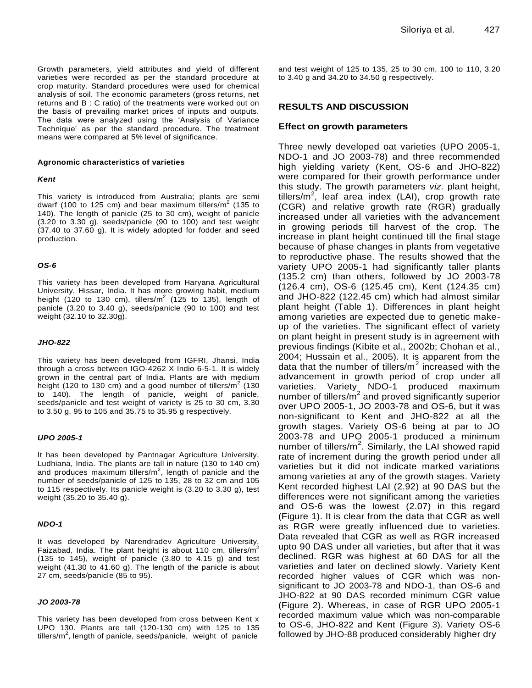Growth parameters, yield attributes and yield of different varieties were recorded as per the standard procedure at crop maturity. Standard procedures were used for chemical analysis of soil. The economic parameters (gross returns, net returns and B : C ratio) of the treatments were worked out on the basis of prevailing market prices of inputs and outputs. The data were analyzed using the 'Analysis of Variance Technique' as per the standard procedure. The treatment means were compared at 5% level of significance.

#### **Agronomic characteristics of varieties**

#### *Kent*

This variety is introduced from Australia; plants are semi dwarf (100 to 125 cm) and bear maximum tillers/m<sup>2</sup> (135 to 140). The length of panicle (25 to 30 cm), weight of panicle (3.20 to 3.30 g), seeds/panicle (90 to 100) and test weight (37.40 to 37.60 g). It is widely adopted for fodder and seed production.

#### *OS-6*

This variety has been developed from Haryana Agricultural University, Hissar, India. It has more growing habit, medium height (120 to 130 cm), tillers/m<sup>2</sup> (125 to 135), length of panicle (3.20 to 3.40 g), seeds/panicle (90 to 100) and test weight (32.10 to 32.30g).

#### *JHO-822*

This variety has been developed from IGFRI, Jhansi, India through a cross between IGO-4262 X Indio 6-5-1. It is widely grown in the central part of India. Plants are with medium height (120 to 130 cm) and a good number of tillers/m<sup>2</sup> (130 to 140). The length of panicle, weight of panicle, seeds/panicle and test weight of variety is 25 to 30 cm, 3.30 to 3.50 g, 95 to 105 and 35.75 to 35.95 g respectively.

#### *UPO 2005-1*

It has been developed by Pantnagar Agriculture University, Ludhiana, India. The plants are tall in nature (130 to 140 cm) and produces maximum tillers/m<sup>2</sup>, length of panicle and the number of seeds/panicle of 125 to 135, 28 to 32 cm and 105 to 115 respectively. Its panicle weight is (3.20 to 3.30 g), test weight (35.20 to 35.40 g).

#### *NDO-1*

It was developed by Narendradev Agriculture University, Faizabad, India. The plant height is about 110 cm, tillers/ $m^2$ (135 to 145), weight of panicle (3.80 to 4.15 g) and test weight (41.30 to 41.60 g). The length of the panicle is about 27 cm, seeds/panicle (85 to 95).

#### *JO 2003-78*

This variety has been developed from cross between Kent x UPO 130. Plants are tall (120-130 cm) with 125 to 135 tillers/m<sup>2</sup>, length of panicle, seeds/panicle, weight of panicle and test weight of 125 to 135, 25 to 30 cm, 100 to 110, 3.20 to 3.40 g and 34.20 to 34.50 g respectively.

### **RESULTS AND DISCUSSION**

#### **Effect on growth parameters**

Three newly developed oat varieties (UPO 2005-1, NDO-1 and JO 2003-78) and three recommended high yielding variety (Kent, OS-6 and JHO-822) were compared for their growth performance under this study. The growth parameters *viz.* plant height, tillers/m<sup>2</sup>, leaf area index (LAI), crop growth rate (CGR) and relative growth rate (RGR) gradually increased under all varieties with the advancement in growing periods till harvest of the crop. The increase in plant height continued till the final stage because of phase changes in plants from vegetative to reproductive phase. The results showed that the variety UPO 2005-1 had significantly taller plants (135.2 cm) than others, followed by JO 2003-78 (126.4 cm), OS-6 (125.45 cm), Kent (124.35 cm) and JHO-822 (122.45 cm) which had almost similar plant height (Table 1). Differences in plant height among varieties are expected due to genetic makeup of the varieties. The significant effect of variety on plant height in present study is in agreement with previous findings (Kibite et al., 2002b; Chohan et al., 2004; Hussain et al., 2005). It is apparent from the data that the number of tillers/ $m^2$  increased with the advancement in growth period of crop under all varieties. Variety NDO-1 produced maximum number of tillers/ $m^2$  and proved significantly superior over UPO 2005-1, JO 2003-78 and OS-6, but it was non-significant to Kent and JHO-822 at all the growth stages. Variety OS-6 being at par to JO 2003-78 and UPO 2005-1 produced a minimum number of tillers/m<sup>2</sup>. Similarly, the LAI showed rapid rate of increment during the growth period under all varieties but it did not indicate marked variations among varieties at any of the growth stages. Variety Kent recorded highest LAI (2.92) at 90 DAS but the differences were not significant among the varieties and OS-6 was the lowest (2.07) in this regard (Figure 1). It is clear from the data that CGR as well as RGR were greatly influenced due to varieties. Data revealed that CGR as well as RGR increased upto 90 DAS under all varieties, but after that it was declined. RGR was highest at 60 DAS for all the varieties and later on declined slowly. Variety Kent recorded higher values of CGR which was nonsignificant to JO 2003-78 and NDO-1, than OS-6 and JHO-822 at 90 DAS recorded minimum CGR value (Figure 2). Whereas, in case of RGR UPO 2005-1 recorded maximum value which was non-comparable to OS-6, JHO-822 and Kent (Figure 3). Variety OS-6 followed by JHO-88 produced considerably higher dry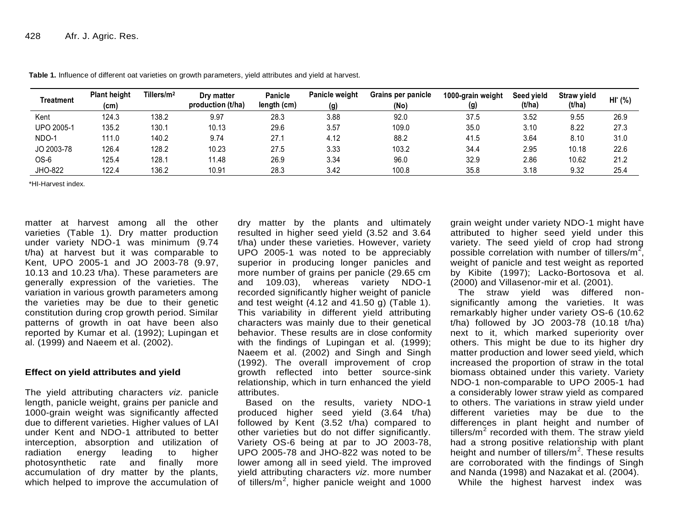| Treatment  | <b>Plant height</b><br>(cm) | Tillers/ $m2$ | Dry matter<br>production (t/ha) | <b>Panicle</b><br>length (cm) | <b>Panicle weight</b><br>(g) | Grains per panicle<br>(No) | 1000-grain weight<br>(g) | Seed vield<br>(t/ha) | <b>Straw yield</b><br>(t/ha) | $HI^*(% )$ |
|------------|-----------------------------|---------------|---------------------------------|-------------------------------|------------------------------|----------------------------|--------------------------|----------------------|------------------------------|------------|
| Kent       | 124.3                       | 138.2         | 9.97                            | 28.3                          | 3.88                         | 92.0                       | 37.5                     | 3.52                 | 9.55                         | 26.9       |
| UPO 2005-1 | 135.2                       | 130.1         | 10.13                           | 29.6                          | 3.57                         | 109.0                      | 35.0                     | 3.10                 | 8.22                         | 27.3       |
| NDO-1      | 111.0                       | 140.2         | 9.74                            | 27.1                          | 4.12                         | 88.2                       | 41.5                     | 3.64                 | 8.10                         | 31.0       |
| JO 2003-78 | 126.4                       | 128.2         | 10.23                           | 27.5                          | 3.33                         | 103.2                      | 34.4                     | 2.95                 | 10.18                        | 22.6       |
| OS-6       | 125.4                       | 128.1         | 11.48                           | 26.9                          | 3.34                         | 96.0                       | 32.9                     | 2.86                 | 10.62                        | 21.2       |
| JHO-822    | 122.4                       | 136.2         | 10.91                           | 28.3                          | 3.42                         | 100.8                      | 35.8                     | 3.18                 | 9.32                         | 25.4       |

**Table 1.** Influence of different oat varieties on growth parameters, yield attributes and yield at harvest.

\*HI-Harvest index.

matter at harvest among all the other varieties (Table 1). Dry matter production under variety NDO-1 was minimum (9.74 t/ha) at harvest but it was comparable to Kent, UPO 2005-1 and JO 2003-78 (9.97, 10.13 and 10.23 t/ha). These parameters are generally expression of the varieties. The variation in various growth parameters among the varieties may be due to their genetic constitution during crop growth period. Similar patterns of growth in oat have been also reported by Kumar et al. (1992); Lupingan et al. (1999) and Naeem et al. (2002).

# **Effect on yield attributes and yield**

The yield attributing characters *viz.* panicle length, panicle weight, grains per panicle and 1000-grain weight was significantly affected due to different varieties. Higher values of LAI under Kent and NDO-1 attributed to better interception, absorption and utilization of radiation energy leading to higher photosynthetic rate and finally more accumulation of dry matter by the plants, which helped to improve the accumulation of

dry matter by the plants and ultimately resulted in higher seed yield (3.52 and 3.64 t/ha) under these varieties. However, variety  $UPO$  2005-1 was noted to be appreciably superior in producing longer panicles and more number of grains per panicle (29.65 cm and 109.03), whereas variety NDO-1 recorded significantly higher weight of panicle and test weight (4.12 and 41.50 g) (Table 1). This variability in different yield attributing characters was mainly due to their genetical behavior. These results are in close conformity with the findings of Lupingan et al. (1999); Naeem et al. (2002) and Singh and Singh (1992). The overall improvement of crop growth reflected into better source-sink relationship, which in turn enhanced the yield attributes.

Based on the results, variety NDO-1 produced higher seed yield (3.64 t/ha) followed by Kent (3.52 t/ha) compared to other varieties but do not differ significantly. Variety OS-6 being at par to JO 2003-78, UPO 2005-78 and JHO-822 was noted to be lower among all in seed yield. The improved yield attributing characters *viz*. more number of tillers/m<sup>2</sup>, higher panicle weight and 1000

grain weight under variety NDO-1 might have attributed to higher seed yield under this variety. The seed yield of crop had strong possible correlation with number of tillers/m<sup>2</sup>, weight of panicle and test weight as reported by Kibite (1997); Lacko-Bortosova et al. (2000) and Villasenor-mir et al. (2001).

The straw yield was differed nonsignificantly among the varieties. It was remarkably higher under variety OS-6 (10.62 t/ha) followed by JO 2003-78 (10.18 t/ha) next to it, which marked superiority over others. This might be due to its higher dry matter production and lower seed yield, which increased the proportion of straw in the total biomass obtained under this variety. Variety NDO-1 non-comparable to UPO 2005-1 had a considerably lower straw yield as compared to others. The variations in straw yield under different varieties may be due to the differences in plant height and number of tillers/m<sup>2</sup> recorded with them. The straw yield had a strong positive relationship with plant height and number of tillers/ $m^2$ . These results are corroborated with the findings of Singh and Nanda (1998) and Nazakat et al. (2004).

While the highest harvest index was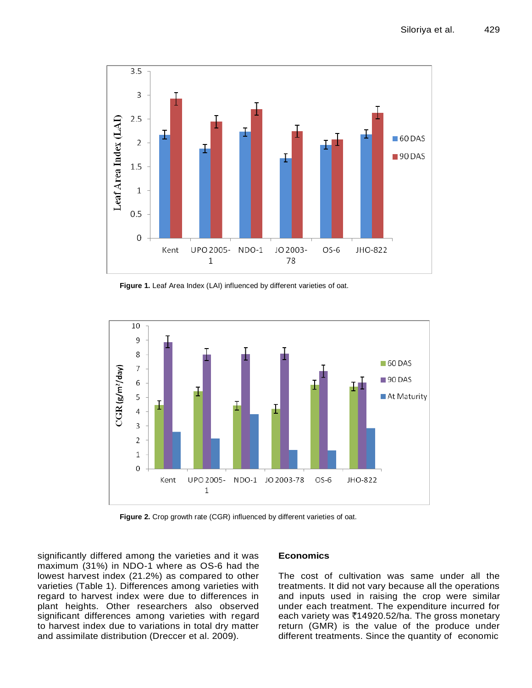

Figure 1. Leaf Area Index (LAI) influenced by different varieties of oat.



**Figure 2.** Crop growth rate (CGR) influenced by different varieties of oat.

significantly differed among the varieties and it was maximum (31%) in NDO-1 where as OS-6 had the lowest harvest index (21.2%) as compared to other varieties (Table 1). Differences among varieties with regard to harvest index were due to differences in plant heights. Other researchers also observed significant differences among varieties with regard to harvest index due to variations in total dry matter and assimilate distribution (Dreccer et al. 2009).

# **Economics**

The cost of cultivation was same under all the treatments. It did not vary because all the operations and inputs used in raising the crop were similar under each treatment. The expenditure incurred for each variety was  $\overline{\mathfrak{e}}$ 14920.52/ha. The gross monetary return (GMR) is the value of the produce under different treatments. Since the quantity of economic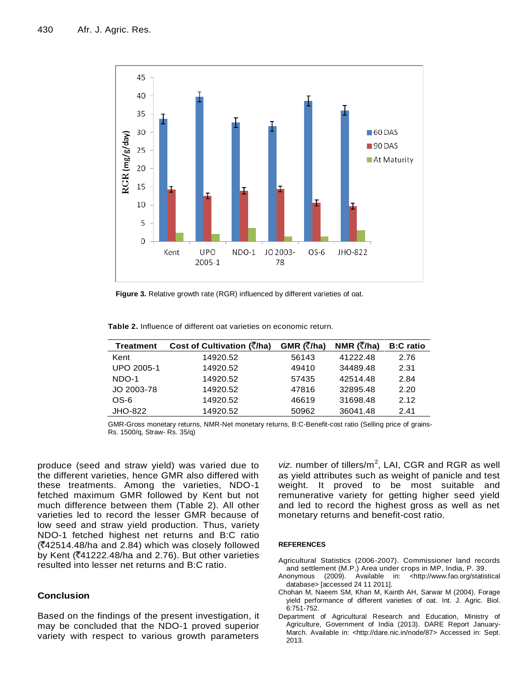

**Figure 3.** Relative growth rate (RGR) influenced by different varieties of oat.

| <b>Treatment</b> | Cost of Cultivation (₹/ha) | GMR (₹/ha) | NMR (₹/ha) | <b>B:C</b> ratio |
|------------------|----------------------------|------------|------------|------------------|
| Kent             | 14920.52                   | 56143      | 41222.48   | 2.76             |
| UPO 2005-1       | 14920.52                   | 49410      | 34489.48   | 2.31             |
| NDO-1            | 14920.52                   | 57435      | 42514.48   | 2.84             |
| JO 2003-78       | 14920.52                   | 47816      | 32895.48   | 2.20             |
| OS-6             | 14920.52                   | 46619      | 31698.48   | 2.12             |
| JHO-822          | 14920.52                   | 50962      | 36041.48   | 2.41             |

GMR-Gross monetary returns, NMR-Net monetary returns, B:C-Benefit-cost ratio (Selling price of grains-Rs. 1500/q, Straw- Rs. 35/q)

produce (seed and straw yield) was varied due to the different varieties, hence GMR also differed with these treatments. Among the varieties, NDO-1 fetched maximum GMR followed by Kent but not much difference between them (Table 2). All other varieties led to record the lesser GMR because of low seed and straw yield production. Thus, variety NDO-1 fetched highest net returns and B:C ratio  $($  $2.42514.48$ /ha and 2.84) which was closely followed by Kent ( $\overline{(}41222.48$ /ha and 2.76). But other varieties resulted into lesser net returns and B:C ratio.

# **Conclusion**

Based on the findings of the present investigation, it may be concluded that the NDO-1 proved superior variety with respect to various growth parameters

viz. number of tillers/m<sup>2</sup>, LAI, CGR and RGR as well as yield attributes such as weight of panicle and test weight. It proved to be most suitable and remunerative variety for getting higher seed yield and led to record the highest gross as well as net monetary returns and benefit-cost ratio.

#### **REFERENCES**

- Agricultural Statistics (2006-2007). Commissioner land records and settlement (M.P.) Area under crops in MP, India, P. 39.
- Anonymous (2009). Available in: <http://www.fao.org/statistical database> [accessed 24 11 2011].
- Chohan M, Naeem SM, Khan M, Kainth AH, Sarwar M (2004). Forage yield performance of different varieties of oat. Int. J. Agric. Biol. 6:751-752.
- Department of Agricultural Research and Education, Ministry of Agriculture, Government of India (2013). DARE Report January-March. Available in: [<http://dare.nic.in/node/87>](http://dare.nic.in/node/87) Accessed in: Sept. 2013.